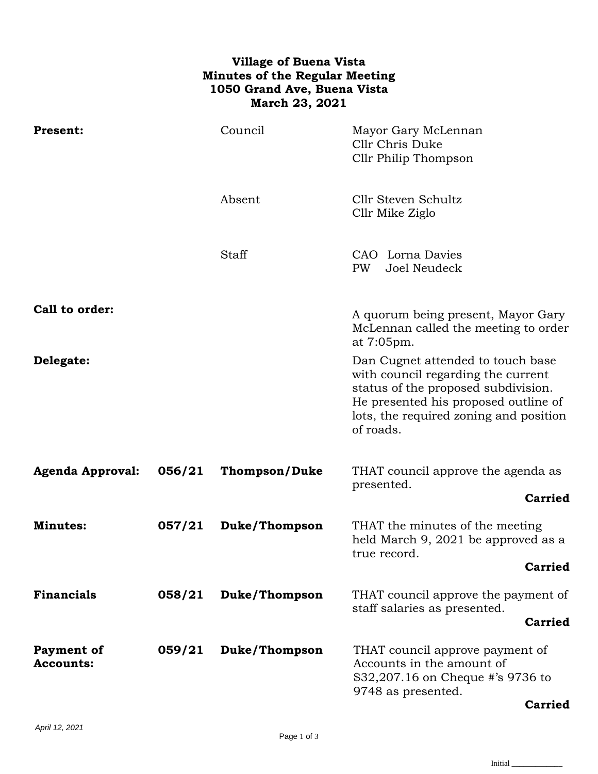## **Village of Buena Vista Minutes of the Regular Meeting 1050 Grand Ave, Buena Vista March 23, 2021**

| <b>Present:</b>                |        | Council              | Mayor Gary McLennan<br>Cllr Chris Duke<br>Cllr Philip Thompson                                                                                                                                                |
|--------------------------------|--------|----------------------|---------------------------------------------------------------------------------------------------------------------------------------------------------------------------------------------------------------|
|                                |        | Absent               | Cllr Steven Schultz<br>Cllr Mike Ziglo                                                                                                                                                                        |
|                                |        | Staff                | CAO Lorna Davies<br>Joel Neudeck<br>PW                                                                                                                                                                        |
| Call to order:                 |        |                      | A quorum being present, Mayor Gary<br>McLennan called the meeting to order<br>at 7:05pm.                                                                                                                      |
| Delegate:                      |        |                      | Dan Cugnet attended to touch base<br>with council regarding the current<br>status of the proposed subdivision.<br>He presented his proposed outline of<br>lots, the required zoning and position<br>of roads. |
| <b>Agenda Approval:</b>        | 056/21 | <b>Thompson/Duke</b> | THAT council approve the agenda as<br>presented.<br><b>Carried</b>                                                                                                                                            |
| <b>Minutes:</b>                | 057/21 | Duke/Thompson        | THAT the minutes of the meeting<br>held March 9, 2021 be approved as a<br>true record.<br><b>Carried</b>                                                                                                      |
| <b>Financials</b>              | 058/21 | Duke/Thompson        | THAT council approve the payment of<br>staff salaries as presented.<br><b>Carried</b>                                                                                                                         |
| Payment of<br><b>Accounts:</b> | 059/21 | Duke/Thompson        | THAT council approve payment of<br>Accounts in the amount of<br>\$32,207.16 on Cheque #'s 9736 to<br>9748 as presented.<br><b>Carried</b>                                                                     |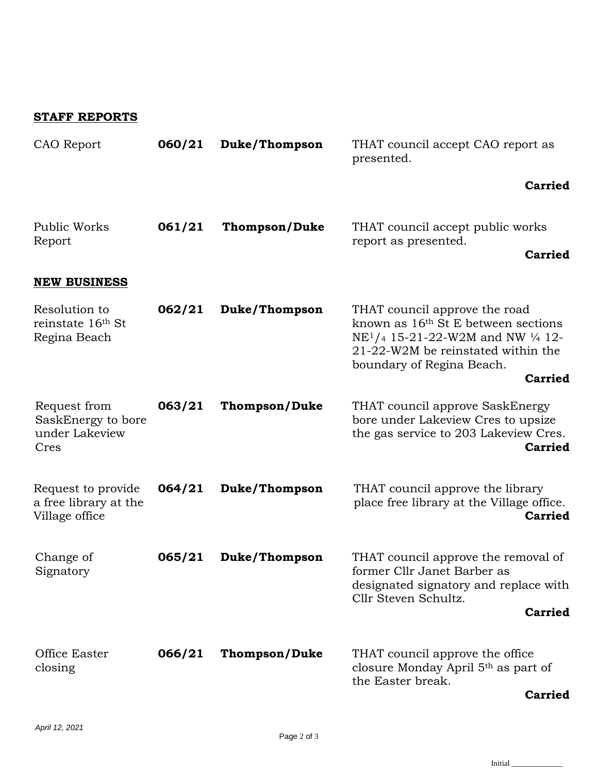## **STAFF REPORTS**

| CAO Report                                                    | 060/21 | Duke/Thompson        | THAT council accept CAO report as<br>presented.                                                                                                                                                                        |
|---------------------------------------------------------------|--------|----------------------|------------------------------------------------------------------------------------------------------------------------------------------------------------------------------------------------------------------------|
|                                                               |        |                      | <b>Carried</b>                                                                                                                                                                                                         |
| Public Works<br>Report                                        | 061/21 | <b>Thompson/Duke</b> | THAT council accept public works<br>report as presented.<br><b>Carried</b>                                                                                                                                             |
| <b>NEW BUSINESS</b>                                           |        |                      |                                                                                                                                                                                                                        |
| Resolution to<br>reinstate 16th St<br>Regina Beach            | 062/21 | Duke/Thompson        | THAT council approve the road<br>known as 16 <sup>th</sup> St E between sections<br>$NE1/4$ 15-21-22-W2M and NW $\frac{1}{4}$ 12-<br>21-22-W2M be reinstated within the<br>boundary of Regina Beach.<br><b>Carried</b> |
| Request from<br>SaskEnergy to bore<br>under Lakeview<br>Cres  | 063/21 | <b>Thompson/Duke</b> | THAT council approve SaskEnergy<br>bore under Lakeview Cres to upsize<br>the gas service to 203 Lakeview Cres.<br><b>Carried</b>                                                                                       |
| Request to provide<br>a free library at the<br>Village office | 064/21 | Duke/Thompson        | THAT council approve the library<br>place free library at the Village office.<br><b>Carried</b>                                                                                                                        |
| Change of<br>Signatory                                        | 065/21 | Duke/Thompson        | THAT council approve the removal of<br>former Cllr Janet Barber as<br>designated signatory and replace with<br>Cllr Steven Schultz.<br><b>Carried</b>                                                                  |
| Office Easter<br>closing                                      | 066/21 | <b>Thompson/Duke</b> | THAT council approve the office<br>closure Monday April 5 <sup>th</sup> as part of<br>the Easter break.<br>Carriad                                                                                                     |